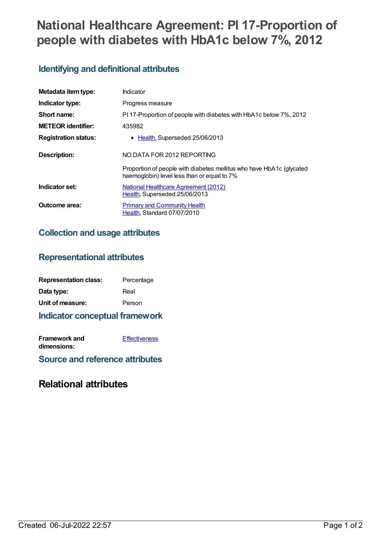# **National Healthcare Agreement: PI 17-Proportion of people with diabetes with HbA1c below 7%, 2012**

# **Identifying and definitional attributes**

| Metadata item type:         | Indicator                                                                                                           |
|-----------------------------|---------------------------------------------------------------------------------------------------------------------|
| Indicator type:             | Progress measure                                                                                                    |
| Short name:                 | PI 17-Proportion of people with diabetes with HbA1c below 7%, 2012                                                  |
| <b>METEOR identifier:</b>   | 435982                                                                                                              |
| <b>Registration status:</b> | • Health, Superseded 25/06/2013                                                                                     |
| <b>Description:</b>         | NO DATA FOR 2012 REPORTING                                                                                          |
|                             | Proportion of people with diabetes mellitus who have HbA1c (glycated<br>haemoglobin) level less than or equal to 7% |
| Indicator set:              | <b>National Healthcare Agreement (2012)</b><br>Health, Superseded 25/06/2013                                        |
| Outcome area:               | <b>Primary and Community Health</b><br>Health, Standard 07/07/2010                                                  |

#### **Collection and usage attributes**

## **Representational attributes**

| <b>Representation class:</b> | Percentage |
|------------------------------|------------|
| Data type:                   | Real       |
| Unit of measure:             | Person     |

**Indicator conceptual framework**

**Framework and dimensions: [Effectiveness](https://meteor.aihw.gov.au/content/392587)** 

**Source and reference attributes**

## **Relational attributes**